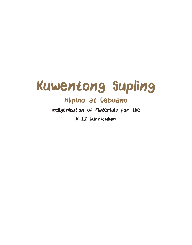

## Filipino at Cebuano

Indigenization of Materials for the K-12 Curriculum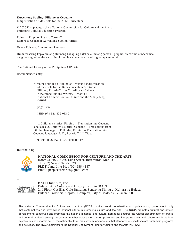## **Kuwentong Supling: Filipino at Cebuano**

Indigenization of Materials for the K-12 Curriculum

© 2020 Karapatang-sipi ng National Commission for Culture and the Arts, at Philippine Cultural Education Program

Editor sa Filipino: Rosario Torres-Yu Editors sa Cebuano: Kuwentong Supling Writers

Unang Edisyon: Literaturang Pambata

Hindi maaaring kopyahin ang alinmang bahagi ng aklat sa alinmang paraan**—**graphic, electronic o mechanical nang walang nakasulat na pahintulot mula sa mga may hawak ng karapatang-sipi.

The National Library of the Philippines CIP Data

Recommended entry:

 Kwentong supling : Filipino at Cebuano : indigenization of materials for the K-12 curriculum / editor sa Filipino, Rosario Torres Yu, editor sa Cebuano, Kuwentong Supling Writers. -- Manila : National Commission for Culture and the Arts,[2020], ©2020.

pages, cm

ISBN 978-621-432-033-2

 1. Children's stories, Filipino -- Translation into Cebuano languages. 2. Children's stories, Cebuano -- Translations from Filipino language. 3. Folktales, Filipino -- Translation into Cebuano languages. I. Yu, Rosario T. III. Title.

899.21130834 PZ90.F55 P020200117

Inilathala ng



## **NATIONAL COMMISSION FOR CULTURE AND THE ARTS**

Room 5D #633 Gen. Luna Street, Intramuros, Manila Tel: (02) 527-2192 loc 529 PLDT Land Line Plus (02) 986-4147 Email: pcep.secretariat@gmail.com

at



Bulacan Arts Culture and History Institute (BACH) 2nd Floor, Gat Blas Ople Building, Sentro ng Sining at Kultura ng Bulacan Bulacan Provincial Capitol, Complex, City of Malolos, Bulacan 3000

The National Commission for Culture and the Arts (NCCA) is the overall coordination and policymaking government body that systematizes and streamlines national efforts in promoting culture and the arts. The NCCA promotes cultural and artistic development: conserves and promotes the nation's historical and cultural heritages; ensures the widest dissemination of artistic and cultural products among the greatest number across the country; preserves and integrates traditional culture and its various expressions as dynamic part of the national cultural mainstream; and ensures that standards of excellence are pursued in programs and activities. The NCCA administers the National Endowment Fund for Culture and the Arts (NEFCA).